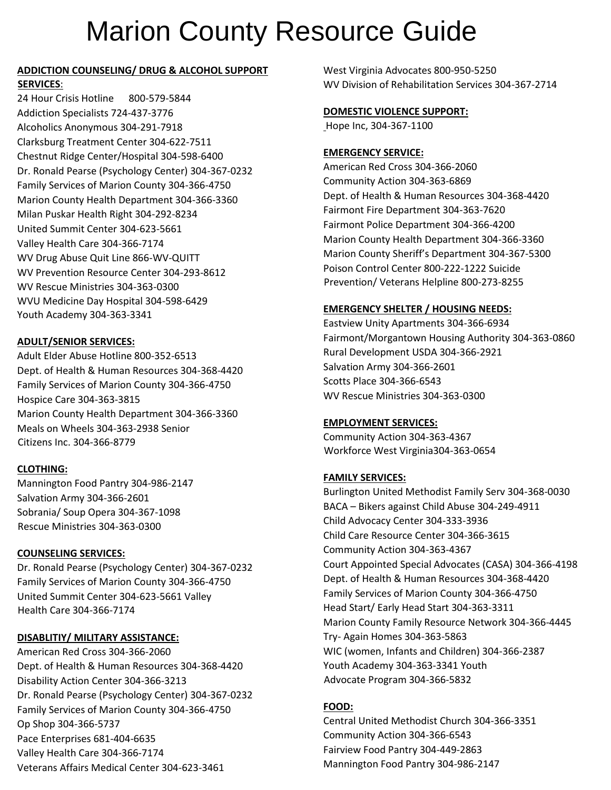# Marion County Resource Guide

# **ADDICTION COUNSELING/ DRUG & ALCOHOL SUPPORT SERVICES**:

24 Hour Crisis Hotline 800-579-5844 Addiction Specialists 724-437-3776 Alcoholics Anonymous 304-291-7918 Clarksburg Treatment Center 304-622-7511 Chestnut Ridge Center/Hospital 304-598-6400 Dr. Ronald Pearse (Psychology Center) 304-367-0232 Family Services of Marion County 304-366-4750 Marion County Health Department 304-366-3360 Milan Puskar Health Right 304-292-8234 United Summit Center 304-623-5661 Valley Health Care 304-366-7174 WV Drug Abuse Quit Line 866-WV-QUITT WV Prevention Resource Center 304-293-8612 WV Rescue Ministries 304-363-0300 WVU Medicine Day Hospital 304-598-6429 Youth Academy 304-363-3341

#### **ADULT/SENIOR SERVICES:**

Adult Elder Abuse Hotline 800-352-6513 Dept. of Health & Human Resources 304-368-4420 Family Services of Marion County 304-366-4750 Hospice Care 304-363-3815 Marion County Health Department 304-366-3360 Meals on Wheels 304-363-2938 Senior Citizens Inc. 304-366-8779

# **CLOTHING:**

Mannington Food Pantry 304-986-2147 Salvation Army 304-366-2601 Sobrania/ Soup Opera 304-367-1098 Rescue Ministries 304-363-0300

#### **COUNSELING SERVICES:**

Dr. Ronald Pearse (Psychology Center) 304-367-0232 Family Services of Marion County 304-366-4750 United Summit Center 304-623-5661 Valley Health Care 304-366-7174

# **DISABLITIY/ MILITARY ASSISTANCE:**

American Red Cross 304-366-2060 Dept. of Health & Human Resources 304-368-4420 Disability Action Center 304-366-3213 Dr. Ronald Pearse (Psychology Center) 304-367-0232 Family Services of Marion County 304-366-4750 Op Shop 304-366-5737 Pace Enterprises 681-404-6635 Valley Health Care 304-366-7174 Veterans Affairs Medical Center 304-623-3461

West Virginia Advocates 800-950-5250 WV Division of Rehabilitation Services 304-367-2714

#### **DOMESTIC VIOLENCE SUPPORT:**

Hope Inc, 304-367-1100

#### **EMERGENCY SERVICE:**

American Red Cross 304-366-2060 Community Action 304-363-6869 Dept. of Health & Human Resources 304-368-4420 Fairmont Fire Department 304-363-7620 Fairmont Police Department 304-366-4200 Marion County Health Department 304-366-3360 Marion County Sheriff's Department 304-367-5300 Poison Control Center 800-222-1222 Suicide Prevention/ Veterans Helpline 800-273-8255

#### **EMERGENCY SHELTER / HOUSING NEEDS:**

Eastview Unity Apartments 304-366-6934 Fairmont/Morgantown Housing Authority 304-363-0860 Rural Development USDA 304-366-2921 Salvation Army 304-366-2601 Scotts Place 304-366-6543 WV Rescue Ministries 304-363-0300

#### **EMPLOYMENT SERVICES:**

Community Action 304-363-4367 Workforce West Virginia304-363-0654

#### **FAMILY SERVICES:**

Burlington United Methodist Family Serv 304-368-0030 BACA – Bikers against Child Abuse 304-249-4911 Child Advocacy Center 304-333-3936 Child Care Resource Center 304-366-3615 Community Action 304-363-4367 Court Appointed Special Advocates (CASA) 304-366-4198 Dept. of Health & Human Resources 304-368-4420 Family Services of Marion County 304-366-4750 Head Start/ Early Head Start 304-363-3311 Marion County Family Resource Network 304-366-4445 Try- Again Homes 304-363-5863 WIC (women, Infants and Children) 304-366-2387 Youth Academy 304-363-3341 Youth Advocate Program 304-366-5832

# **FOOD:**

Central United Methodist Church 304-366-3351 Community Action 304-366-6543 Fairview Food Pantry 304-449-2863 Mannington Food Pantry 304-986-2147